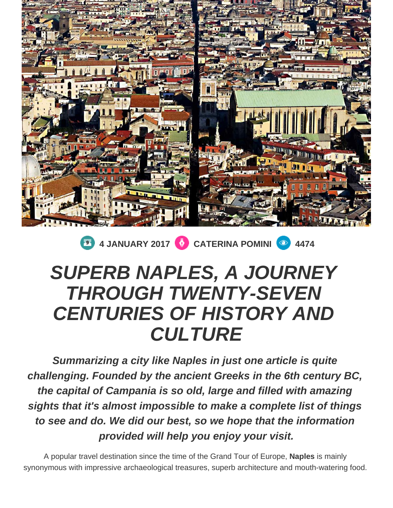

**1** 4 JANUARY 2017 **CATERINA POMINI 1474** 

## **SUPERB NAPLES, A JOURNEY THROUGH TWENTY-SEVEN CENTURIES OF HISTORY AND CULTURE**

**Summarizing a city like Naples in just one article is quite challenging. Founded by the ancient Greeks in the 6th century BC, the capital of Campania is so old, large and filled with amazing sights that it's almost impossible to make a complete list of things to see and do. We did our best, so we hope that the information provided will help you enjoy your visit.**

A popular travel destination since the time of the Grand Tour of Europe, **Naples** is mainly synonymous with impressive archaeological treasures, superb architecture and mouth-watering food.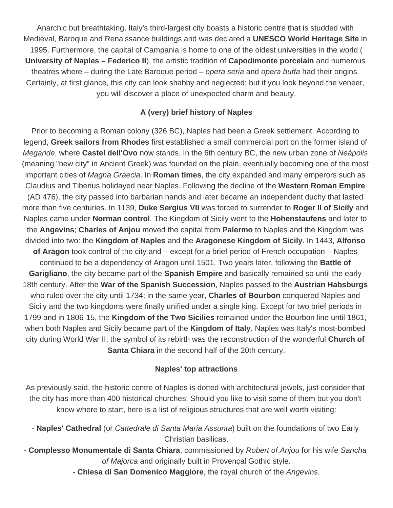Anarchic but breathtaking, Italy's third-largest city boasts a historic centre that is studded with Medieval, Baroque and Renaissance buildings and was declared a **UNESCO World Heritage Site** in 1995. Furthermore, the capital of Campania is home to one of the oldest universities in the world ( **University of Naples – Federico II**), the artistic tradition of **Capodimonte porcelain** and numerous theatres where – during the Late Baroque period – opera seria and opera buffa had their origins. Certainly, at first glance, this city can look shabby and neglected; but if you look beyond the veneer, you will discover a place of unexpected charm and beauty.

## **A (very) brief history of Naples**

Prior to becoming a Roman colony (326 BC), Naples had been a Greek settlement. According to legend, **Greek sailors from Rhodes** first established a small commercial port on the former island of Megaride, where **Castel dell'Ovo** now stands. In the 6th century BC, the new urban zone of Neápolis (meaning "new city" in Ancient Greek) was founded on the plain, eventually becoming one of the most important cities of Magna Graecia. In **Roman times**, the city expanded and many emperors such as Claudius and Tiberius holidayed near Naples. Following the decline of the **Western Roman Empire** (AD 476), the city passed into barbarian hands and later became an independent duchy that lasted more than five centuries. In 1139, **Duke Sergius VII** was forced to surrender to **Roger II of Sicily** and Naples came under **Norman control**. The Kingdom of Sicily went to the **Hohenstaufens** and later to the **Angevins**; **Charles of Anjou** moved the capital from **Palermo** to Naples and the Kingdom was divided into two: the **Kingdom of Naples** and the **Aragonese Kingdom of Sicily**. In 1443, **Alfonso of Aragon** took control of the city and – except for a brief period of French occupation – Naples continued to be a dependency of Aragon until 1501. Two years later, following the **Battle of Garigliano**, the city became part of the **Spanish Empire** and basically remained so until the early 18th century. After the **War of the Spanish Succession**, Naples passed to the **Austrian Habsburgs** who ruled over the city until 1734; in the same year, **Charles of Bourbon** conquered Naples and Sicily and the two kingdoms were finally unified under a single king. Except for two brief periods in 1799 and in 1806-15, the **Kingdom of the Two Sicilies** remained under the Bourbon line until 1861, when both Naples and Sicily became part of the **Kingdom of Italy**. Naples was Italy's most-bombed city during World War II; the symbol of its rebirth was the reconstruction of the wonderful **Church of Santa Chiara** in the second half of the 20th century.

## **Naples' top attractions**

As previously said, the historic centre of Naples is dotted with architectural jewels, just consider that the city has more than 400 historical churches! Should you like to visit some of them but you don't know where to start, here is a list of religious structures that are well worth visiting:

- **Naples' Cathedral** (or Cattedrale di Santa Maria Assunta) built on the foundations of two Early Christian basilicas.
- **Complesso Monumentale di Santa Chiara**, commissioned by Robert of Anjou for his wife Sancha of Majorca and originally built in Provençal Gothic style.

- **Chiesa di San Domenico Maggiore**, the royal church of the Angevins.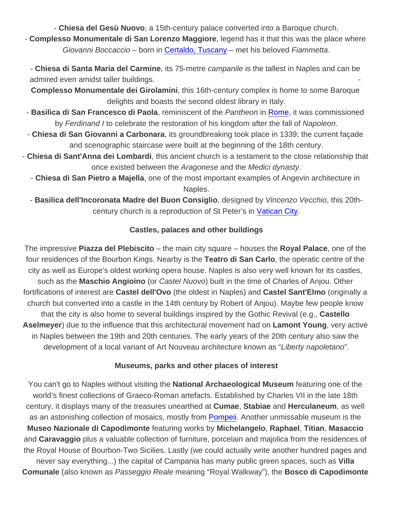- Chiesa del Gesù Nuovo , a 15th-century palace converted into a Baroque church.

- Complesso Monumentale di San Lorenzo Maggiore , legend has it that this was the place where Giovanni Boccaccio – born in [Certaldo, Tuscany](http://www.spellbindingitaly.com/en/article/39-a-mini-tour-of-tuscany-volterra-san-gimignano-and-certaldo) – met his beloved Fiammetta.

- Chiesa di Santa Maria del Carmine , its 75-metre campanile is the tallest in Naples and can be admired even amidst taller buildings.

Complesso Monumentale dei Girolamini , this 16th-century complex is home to some Baroque delights and boasts the second oldest library in Italy.

- Basilica di San Francesco di Paola, reminiscent of the Pantheon in [Rome](https://www.ciaoflorence.it/en/search-results?location=rome), it was commissioned by Ferdinand I to celebrate the restoration of his kingdom after the fall of Napoleon.

- Chiesa di San Giovanni a Carbonara , its groundbreaking took place in 1339; the current façade and scenographic staircase were built at the beginning of the 18th century.

- Chiesa di Sant'Anna dei Lombardi , this ancient church is a testament to the close relationship that once existed between the Aragonese and the Medici dynasty.

- Chiesa di San Pietro a Majella , one of the most important examples of Angevin architecture in Naples.

- Basilica dell'Incoronata Madre del Buon Consiglio , designed by Vincenzo Vecchio, this 20thcentury church is a reproduction of St Peter's in [Vatican City](http://www.spellbindingitaly.com/en/article/12-vatican-city-the-worlds-smallest-kingdom).

## Castles, palaces and other buildings

The impressive Piazza del Plebiscito  $-$  the main city square – houses the Royal Palace, one of the four residences of the Bourbon Kings. Nearby is the Teatro di San Carlo , the operatic centre of the city as well as Europe's oldest working opera house. Naples is also very well known for its castles, such as the Maschio Angioino (or Castel Nuovo) built in the time of Charles of Anjou. Other fortifications of interest are Castel dell'Ovo (the oldest in Naples) and Castel Sant'Elmo (originally a church but converted into a castle in the 14th century by Robert of Anjou). Maybe few people know that the city is also home to several buildings inspired by the Gothic Revival (e.g., Castello Aselmeyer ) due to the influence that this architectural movement had on Lamont Young , very active in Naples between the 19th and 20th centuries. The early years of the 20th century also saw the development of a local variant of Art Nouveau architecture known as "Liberty napoletano".

Museums, parks and other places of interest

You can't go to Naples without visiting the National Archaeological Museum featuring one of the world's finest collections of Graeco-Roman artefacts. Established by Charles VII in the late 18th century, it displays many of the treasures unearthed at Cumae, Stabiae and Herculaneum , as well as an astonishing collection of mosaics, mostly from [Pompeii.](https://www.ciaoflorence.it/en/page/32) Another unmissable museum is the Museo Nazionale di Capodimonte featuring works by Michelangelo , Raphael , Titian , Masaccio and Caravaggio plus a valuable collection of furniture, porcelain and majolica from the residences of the Royal House of Bourbon-Two Sicilies. Lastly (we could actually write another hundred pages and never say everything...) the capital of Campania has many public green spaces, such as Villa Comunale (also known as Passeggio Reale meaning "Royal Walkway"), the Bosco di Capodimonte